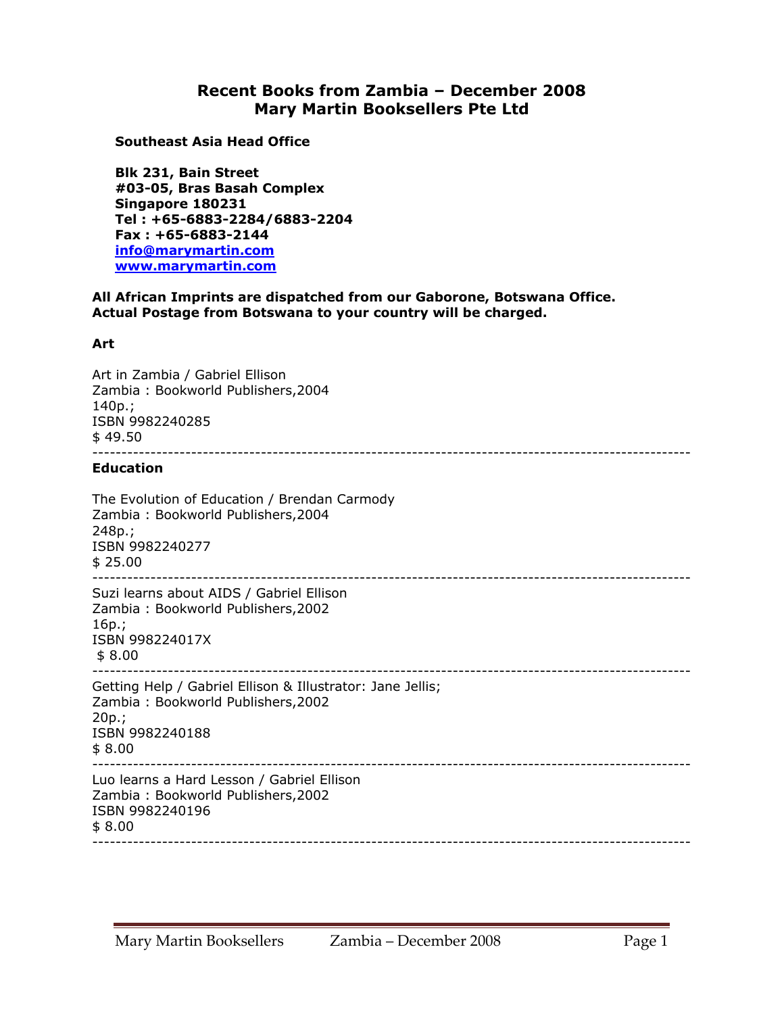## **Recent Books from Zambia – December 2008 Mary Martin Booksellers Pte Ltd**

**Southeast Asia Head Office** 

**Blk 231, Bain Street #03-05, Bras Basah Complex Singapore 180231 Tel : +65-6883-2284/6883-2204 Fax : +65-6883-2144 info@marymartin.com www.marymartin.com**

**All African Imprints are dispatched from our Gaborone, Botswana Office. Actual Postage from Botswana to your country will be charged.** 

## **Art**

Art in Zambia / Gabriel Ellison Zambia : Bookworld Publishers,2004 140p.; ISBN 9982240285 \$ 49.50 ------------------------------------------------------------------------------------------------------- **Education**  The Evolution of Education / Brendan Carmody Zambia : Bookworld Publishers,2004 248p.; ISBN 9982240277 \$ 25.00 ------------------------------------------------------------------------------------------------------- Suzi learns about AIDS / Gabriel Ellison Zambia : Bookworld Publishers,2002 16p.; ISBN 998224017X \$ 8.00 ------------------------------------------------------------------------------------------------------- Getting Help / Gabriel Ellison & Illustrator: Jane Jellis; Zambia : Bookworld Publishers,2002 20p.; ISBN 9982240188 \$ 8.00 ------------------------------------------------------------------------------------------------------- Luo learns a Hard Lesson / Gabriel Ellison Zambia : Bookworld Publishers,2002 ISBN 9982240196 \$ 8.00 -------------------------------------------------------------------------------------------------------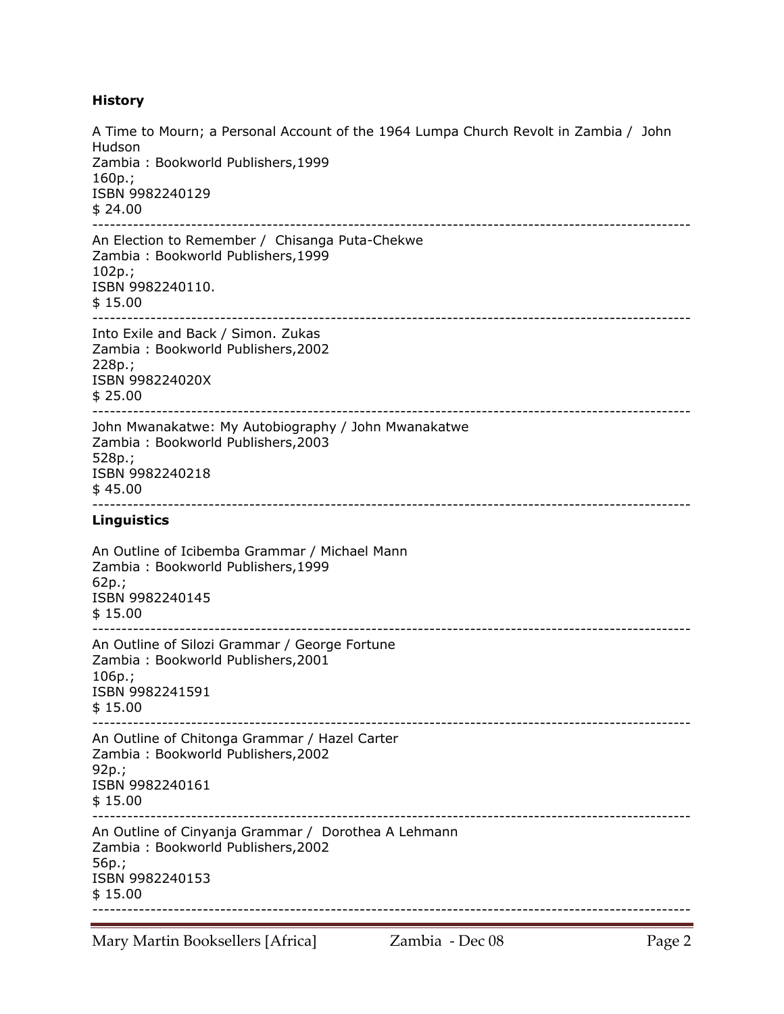## **History**

A Time to Mourn; a Personal Account of the 1964 Lumpa Church Revolt in Zambia / John Hudson Zambia : Bookworld Publishers,1999 160p.; ISBN 9982240129 \$ 24.00 ------------------------------------------------------------------------------------------------------- An Election to Remember / Chisanga Puta-Chekwe Zambia : Bookworld Publishers,1999 102p.; ISBN 9982240110. \$ 15.00 ------------------------------------------------------------------------------------------------------- Into Exile and Back / Simon. Zukas Zambia : Bookworld Publishers,2002 228p.; ISBN 998224020X  $$25.00$ ------------------------------------------------------------------------------------------------------- John Mwanakatwe: My Autobiography / John Mwanakatwe Zambia : Bookworld Publishers,2003 528p.; ISBN 9982240218  $$45.00$ ------------------------------------------------------------------------------------------------------- **Linguistics**  An Outline of Icibemba Grammar / Michael Mann Zambia : Bookworld Publishers,1999 62p.; ISBN 9982240145 \$ 15.00 ------------------------------------------------------------------------------------------------------- An Outline of Silozi Grammar / George Fortune Zambia : Bookworld Publishers,2001 106p.; ISBN 9982241591  $$15.00$ ------------------------------------------------------------------------------------------------------- An Outline of Chitonga Grammar / Hazel Carter Zambia : Bookworld Publishers,2002 92p.; ISBN 9982240161 \$ 15.00 ------------------------------------------------------------------------------------------------------- An Outline of Cinyanja Grammar / Dorothea A Lehmann Zambia : Bookworld Publishers,2002 56p.; ISBN 9982240153 \$ 15.00 -------------------------------------------------------------------------------------------------------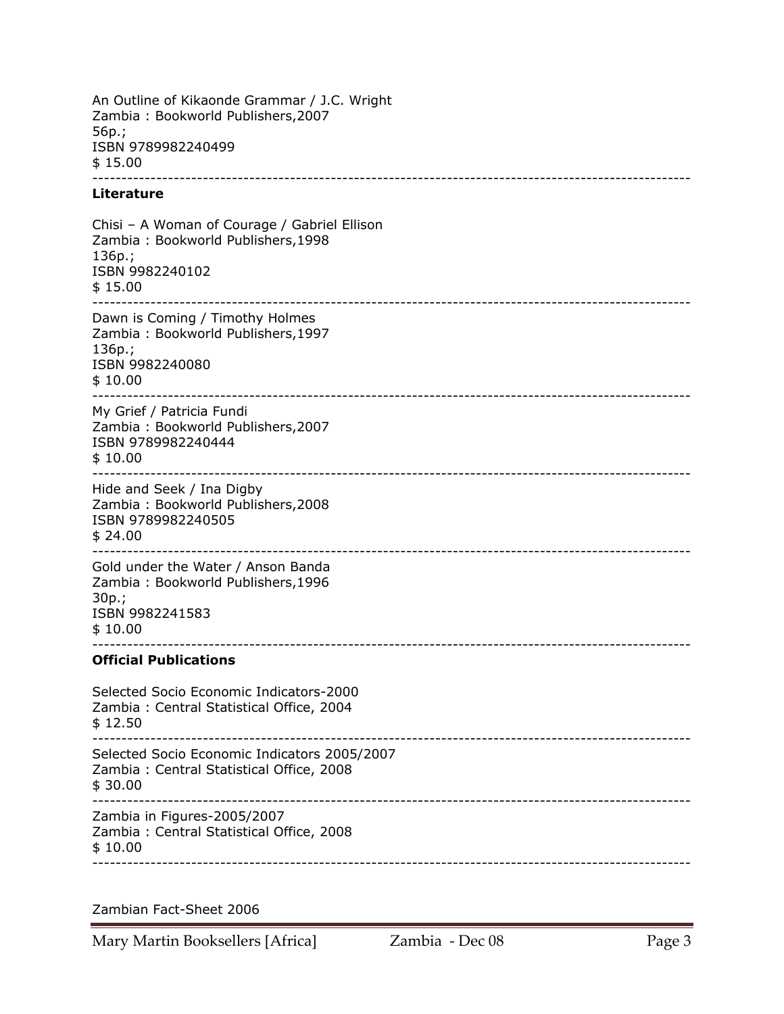An Outline of Kikaonde Grammar / J.C. Wright Zambia : Bookworld Publishers,2007 56p.; ISBN 9789982240499 \$ 15.00 -------------------------------------------------------------------------------------------------------

## **Literature**

Chisi – A Woman of Courage / Gabriel Ellison Zambia : Bookworld Publishers,1998 136p.; ISBN 9982240102 \$ 15.00 ------------------------------------------------------------------------------------------------------- Dawn is Coming / Timothy Holmes Zambia : Bookworld Publishers,1997 136p.; ISBN 9982240080 \$ 10.00 ------------------------------------------------------------------------------------------------------- My Grief / Patricia Fundi Zambia : Bookworld Publishers,2007 ISBN 9789982240444 \$ 10.00 ------------------------------------------------------------------------------------------------------- Hide and Seek / Ina Digby Zambia : Bookworld Publishers,2008 ISBN 9789982240505 \$ 24.00 ------------------------------------------------------------------------------------------------------- Gold under the Water / Anson Banda Zambia : Bookworld Publishers,1996 30p.; ISBN 9982241583 \$ 10.00 ------------------------------------------------------------------------------------------------------- **Official Publications**  Selected Socio Economic Indicators-2000 Zambia : Central Statistical Office, 2004 \$ 12.50 ------------------------------------------------------------------------------------------------------- Selected Socio Economic Indicators 2005/2007 Zambia : Central Statistical Office, 2008 \$ 30.00 ------------------------------------------------------------------------------------------------------- Zambia in Figures-2005/2007 Zambia : Central Statistical Office, 2008 \$ 10.00 -------------------------------------------------------------------------------------------------------

Zambian Fact-Sheet 2006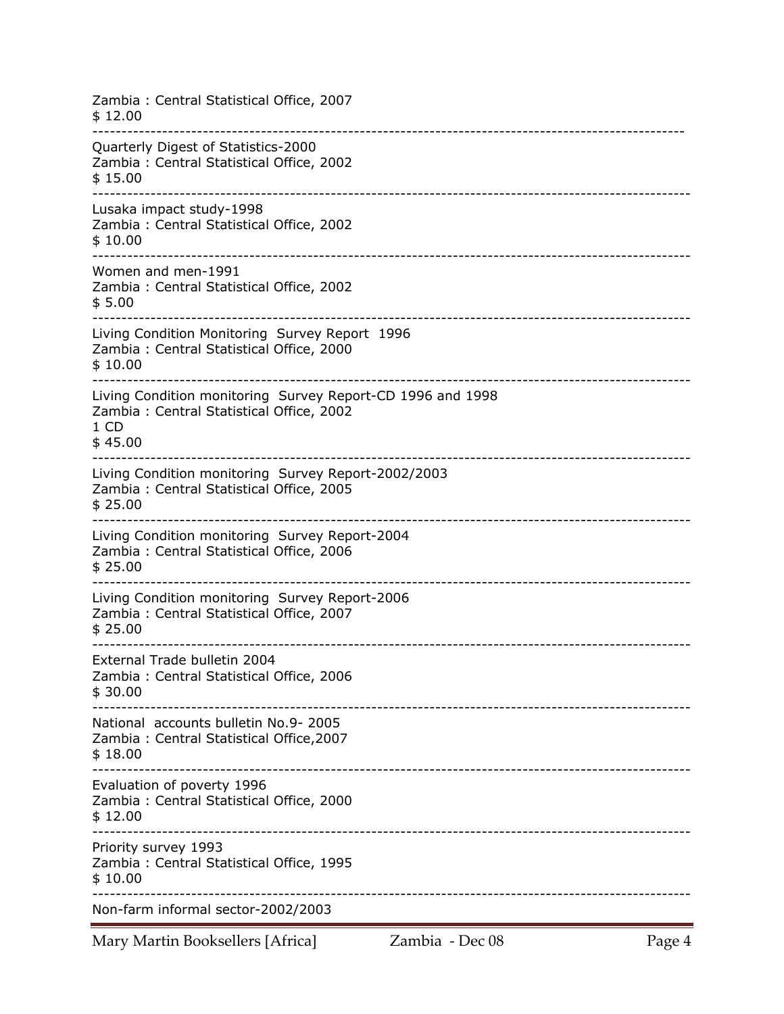Zambia : Central Statistical Office, 2007 \$ 12.00 ------------------------------------------------------------------------------------------------------ Quarterly Digest of Statistics-2000 Zambia : Central Statistical Office, 2002 \$ 15.00 ------------------------------------------------------------------------------------------------------- Lusaka impact study-1998 Zambia : Central Statistical Office, 2002 \$ 10.00 ------------------------------------------------------------------------------------------------------- Women and men-1991 Zambia : Central Statistical Office, 2002 \$ 5.00 ------------------------------------------------------------------------------------------------------- Living Condition Monitoring Survey Report 1996 Zambia : Central Statistical Office, 2000 \$ 10.00 ------------------------------------------------------------------------------------------------------- Living Condition monitoring Survey Report-CD 1996 and 1998 Zambia : Central Statistical Office, 2002 1 CD \$ 45.00 ------------------------------------------------------------------------------------------------------- Living Condition monitoring Survey Report-2002/2003 Zambia : Central Statistical Office, 2005 \$ 25.00 ------------------------------------------------------------------------------------------------------- Living Condition monitoring Survey Report-2004 Zambia : Central Statistical Office, 2006 \$ 25.00 ------------------------------------------------------------------------------------------------------- Living Condition monitoring Survey Report-2006 Zambia : Central Statistical Office, 2007 \$ 25.00 ------------------------------------------------------------------------------------------------------- External Trade bulletin 2004 Zambia : Central Statistical Office, 2006 \$ 30.00 ------------------------------------------------------------------------------------------------------- National accounts bulletin No.9- 2005 Zambia : Central Statistical Office,2007 \$ 18.00 ------------------------------------------------------------------------------------------------------- Evaluation of poverty 1996 Zambia : Central Statistical Office, 2000 \$ 12.00 ------------------------------------------------------------------------------------------------------- Priority survey 1993 Zambia : Central Statistical Office, 1995 \$ 10.00 ------------------------------------------------------------------------------------------------------- Non-farm informal sector-2002/2003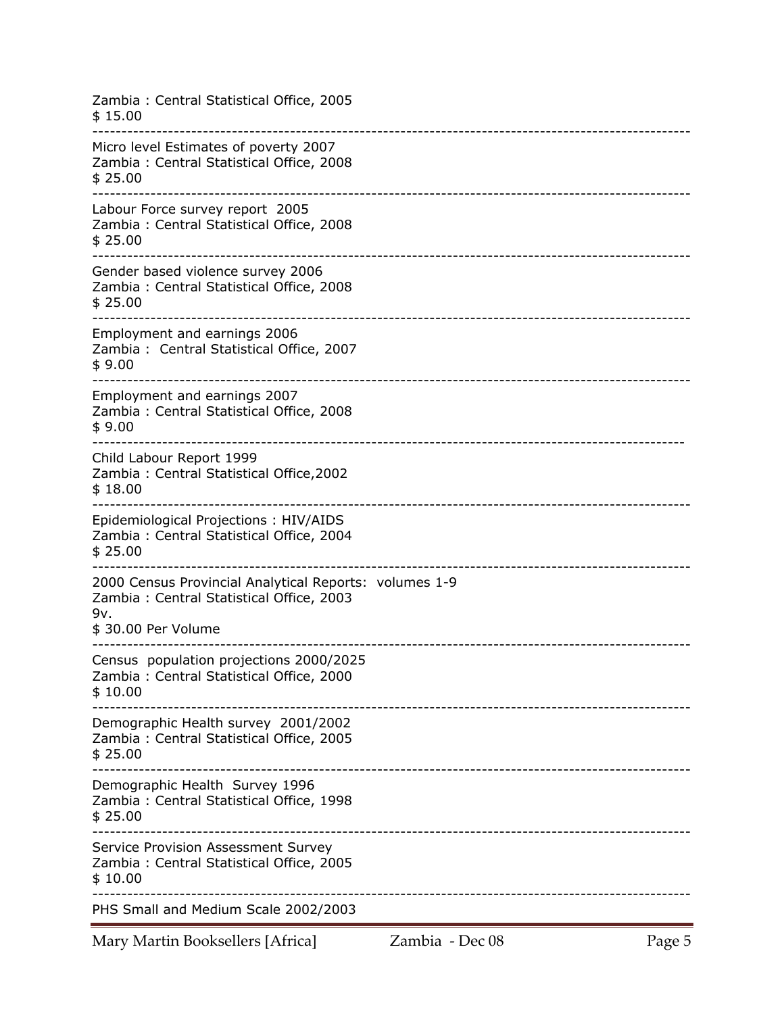| Zambia: Central Statistical Office, 2005<br>\$15.00                                                                             |
|---------------------------------------------------------------------------------------------------------------------------------|
| Micro level Estimates of poverty 2007<br>Zambia: Central Statistical Office, 2008<br>\$25.00                                    |
| Labour Force survey report 2005<br>Zambia: Central Statistical Office, 2008<br>\$25.00                                          |
| Gender based violence survey 2006<br>Zambia: Central Statistical Office, 2008<br>\$25.00                                        |
| Employment and earnings 2006<br>Zambia: Central Statistical Office, 2007<br>\$9.00                                              |
| Employment and earnings 2007<br>Zambia: Central Statistical Office, 2008<br>\$9.00                                              |
| Child Labour Report 1999<br>Zambia: Central Statistical Office, 2002<br>\$18.00                                                 |
| Epidemiological Projections: HIV/AIDS<br>Zambia: Central Statistical Office, 2004<br>\$25.00                                    |
| 2000 Census Provincial Analytical Reports: volumes 1-9<br>Zambia: Central Statistical Office, 2003<br>9v.<br>\$30.00 Per Volume |
| Census population projections 2000/2025<br>Zambia: Central Statistical Office, 2000<br>\$10.00                                  |
| Demographic Health survey 2001/2002<br>Zambia: Central Statistical Office, 2005<br>\$25.00                                      |
| Demographic Health Survey 1996<br>Zambia: Central Statistical Office, 1998<br>\$25.00                                           |
| Service Provision Assessment Survey<br>Zambia: Central Statistical Office, 2005<br>\$10.00                                      |
| PHS Small and Medium Scale 2002/2003                                                                                            |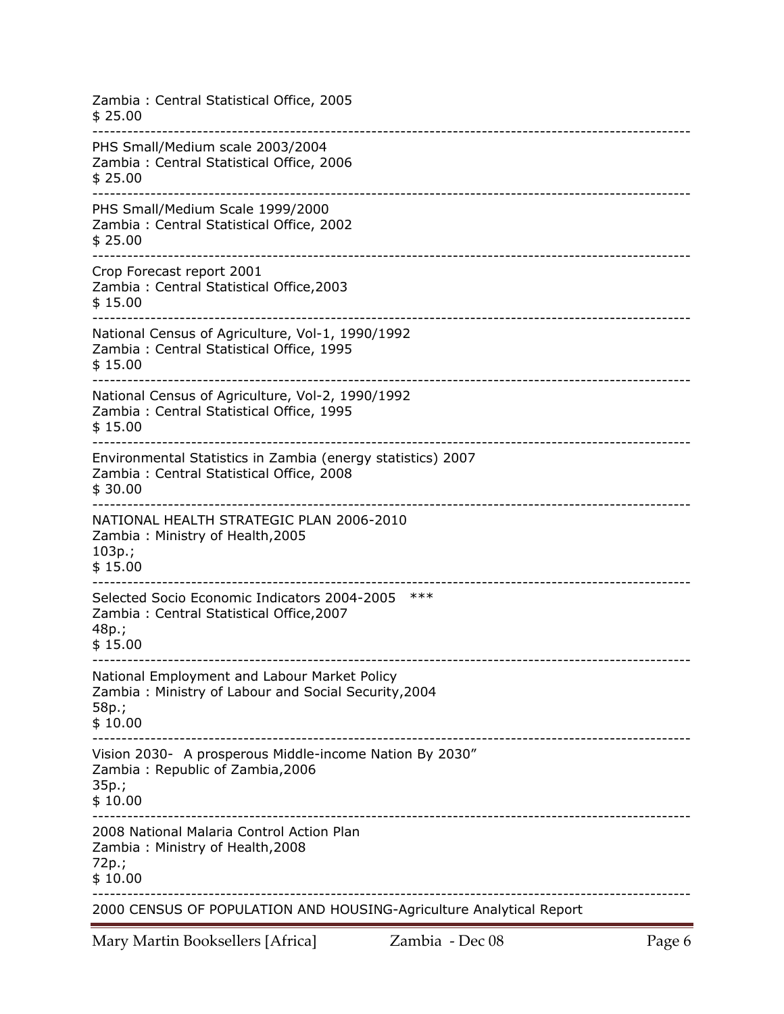| Zambia: Central Statistical Office, 2005<br>\$25.00                                                                      |
|--------------------------------------------------------------------------------------------------------------------------|
| PHS Small/Medium scale 2003/2004<br>Zambia: Central Statistical Office, 2006<br>\$25.00                                  |
| PHS Small/Medium Scale 1999/2000<br>Zambia: Central Statistical Office, 2002<br>\$25.00                                  |
| Crop Forecast report 2001<br>Zambia: Central Statistical Office, 2003<br>\$15.00                                         |
| National Census of Agriculture, Vol-1, 1990/1992<br>Zambia: Central Statistical Office, 1995<br>\$15.00                  |
| National Census of Agriculture, Vol-2, 1990/1992<br>Zambia: Central Statistical Office, 1995<br>\$15.00                  |
| Environmental Statistics in Zambia (energy statistics) 2007<br>Zambia: Central Statistical Office, 2008<br>\$30.00       |
| NATIONAL HEALTH STRATEGIC PLAN 2006-2010<br>Zambia: Ministry of Health, 2005<br>$103p.$ ;<br>\$15.00                     |
| Selected Socio Economic Indicators 2004-2005<br>$***$<br>Zambia: Central Statistical Office, 2007<br>48p.;<br>\$15.00    |
| National Employment and Labour Market Policy<br>Zambia: Ministry of Labour and Social Security, 2004<br>58p.;<br>\$10.00 |
| Vision 2030- A prosperous Middle-income Nation By 2030"<br>Zambia: Republic of Zambia, 2006<br>$35p.$ ;<br>\$10.00       |
| 2008 National Malaria Control Action Plan<br>Zambia: Ministry of Health, 2008<br>$72p.$ ;<br>\$10.00                     |
| 2000 CENSUS OF POPULATION AND HOUSING-Agriculture Analytical Report                                                      |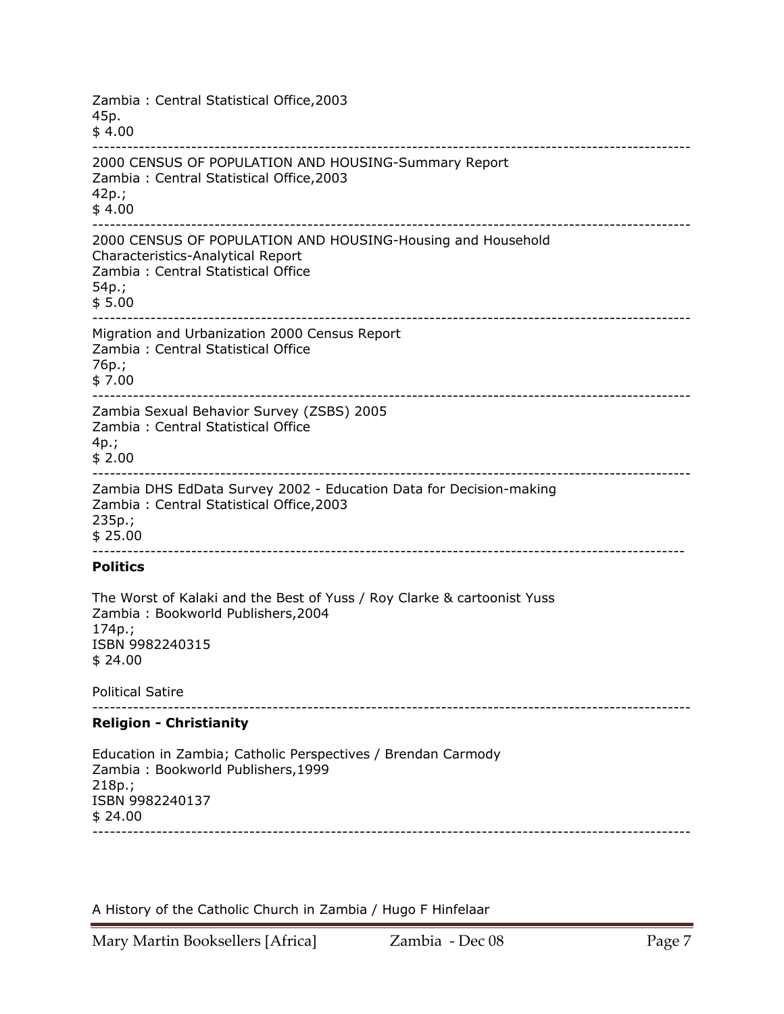Zambia : Central Statistical Office,2003 45p.  $$4.00$ ------------------------------------------------------------------------------------------------------- 2000 CENSUS OF POPULATION AND HOUSING-Summary Report Zambia : Central Statistical Office,2003 42p.; \$ 4.00 ------------------------------------------------------------------------------------------------------- 2000 CENSUS OF POPULATION AND HOUSING-Housing and Household Characteristics-Analytical Report Zambia : Central Statistical Office 54p.; \$ 5.00 ------------------------------------------------------------------------------------------------------- Migration and Urbanization 2000 Census Report Zambia : Central Statistical Office 76p.; \$ 7.00 ------------------------------------------------------------------------------------------------------- Zambia Sexual Behavior Survey (ZSBS) 2005 Zambia : Central Statistical Office 4p.; \$ 2.00 ------------------------------------------------------------------------------------------------------- Zambia DHS EdData Survey 2002 - Education Data for Decision-making Zambia : Central Statistical Office,2003 235p.; \$ 25.00 ------------------------------------------------------------------------------------------------------ **Politics**  The Worst of Kalaki and the Best of Yuss / Roy Clarke & cartoonist Yuss Zambia : Bookworld Publishers,2004 174p.; ISBN 9982240315 \$ 24.00 Political Satire ------------------------------------------------------------------------------------------------------- **Religion - Christianity**  Education in Zambia; Catholic Perspectives / Brendan Carmody Zambia : Bookworld Publishers,1999 218p.; ISBN 9982240137 \$ 24.00 -------------------------------------------------------------------------------------------------------

A History of the Catholic Church in Zambia / Hugo F Hinfelaar